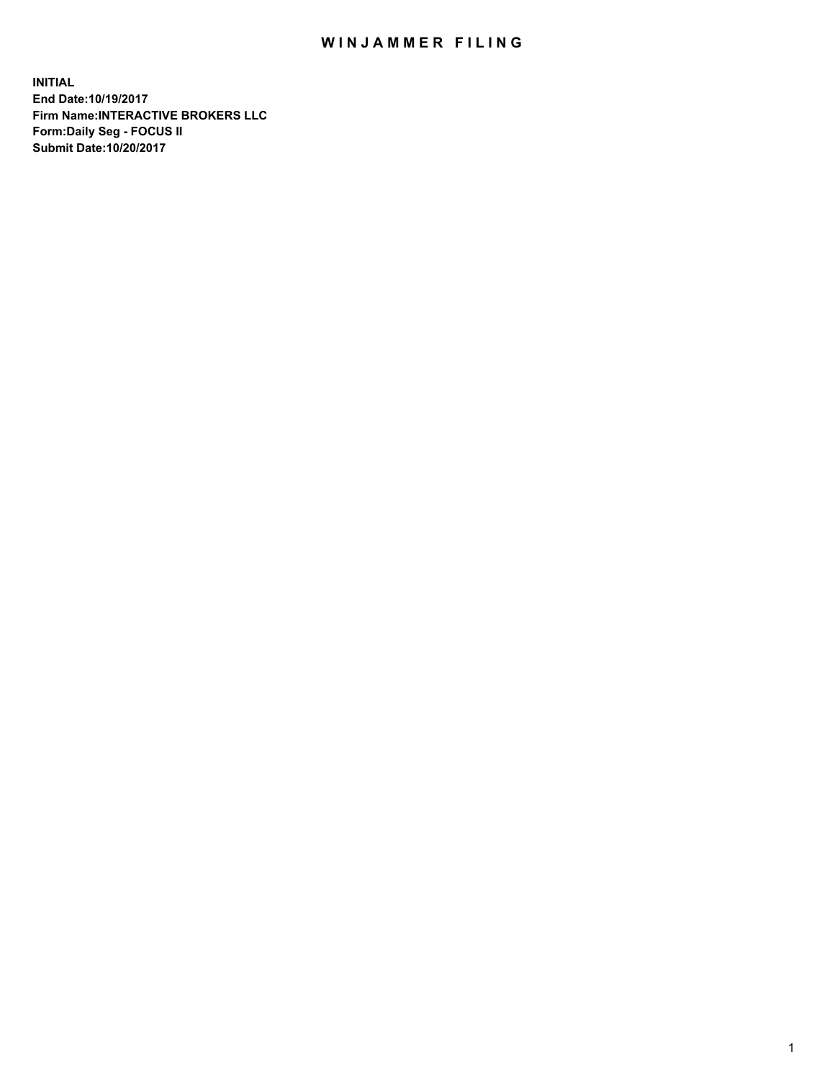## WIN JAMMER FILING

**INITIAL End Date:10/19/2017 Firm Name:INTERACTIVE BROKERS LLC Form:Daily Seg - FOCUS II Submit Date:10/20/2017**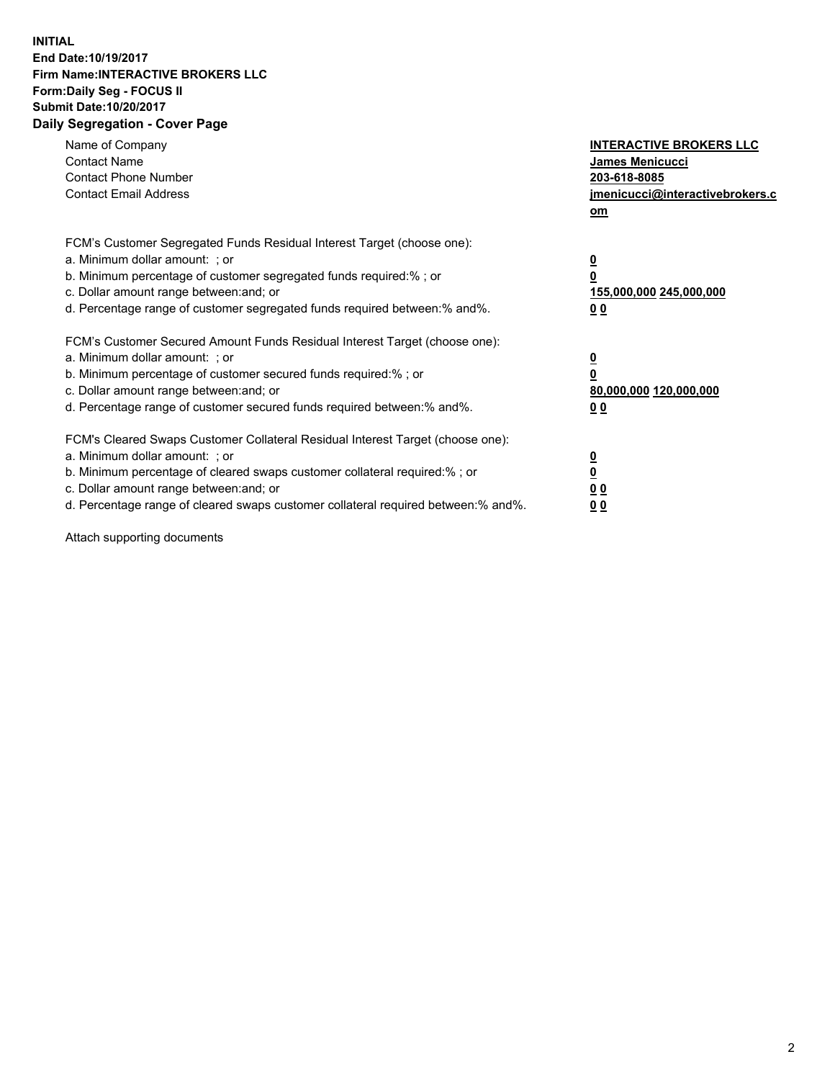## **INITIAL End Date:10/19/2017 Firm Name:INTERACTIVE BROKERS LLC Form:Daily Seg - FOCUS II Submit Date:10/20/2017 Daily Segregation - Cover Page**

| Name of Company<br><b>Contact Name</b><br><b>Contact Phone Number</b><br><b>Contact Email Address</b>                                                                                                                                                                                                                          | <b>INTERACTIVE BROKERS LLC</b><br><b>James Menicucci</b><br>203-618-8085<br>jmenicucci@interactivebrokers.c<br>om |
|--------------------------------------------------------------------------------------------------------------------------------------------------------------------------------------------------------------------------------------------------------------------------------------------------------------------------------|-------------------------------------------------------------------------------------------------------------------|
| FCM's Customer Segregated Funds Residual Interest Target (choose one):<br>a. Minimum dollar amount: ; or<br>b. Minimum percentage of customer segregated funds required:%; or<br>c. Dollar amount range between: and; or<br>d. Percentage range of customer segregated funds required between:% and%.                          | $\overline{\mathbf{0}}$<br>0<br>155,000,000 245,000,000<br>00                                                     |
| FCM's Customer Secured Amount Funds Residual Interest Target (choose one):<br>a. Minimum dollar amount: ; or<br>b. Minimum percentage of customer secured funds required:%; or<br>c. Dollar amount range between: and; or<br>d. Percentage range of customer secured funds required between: % and %.                          | $\overline{\mathbf{0}}$<br>0<br>80,000,000 120,000,000<br>0 <sub>0</sub>                                          |
| FCM's Cleared Swaps Customer Collateral Residual Interest Target (choose one):<br>a. Minimum dollar amount: ; or<br>b. Minimum percentage of cleared swaps customer collateral required:% ; or<br>c. Dollar amount range between: and; or<br>d. Percentage range of cleared swaps customer collateral required between:% and%. | $\overline{\mathbf{0}}$<br>$\overline{\mathbf{0}}$<br>0 <sub>0</sub><br><u>00</u>                                 |

Attach supporting documents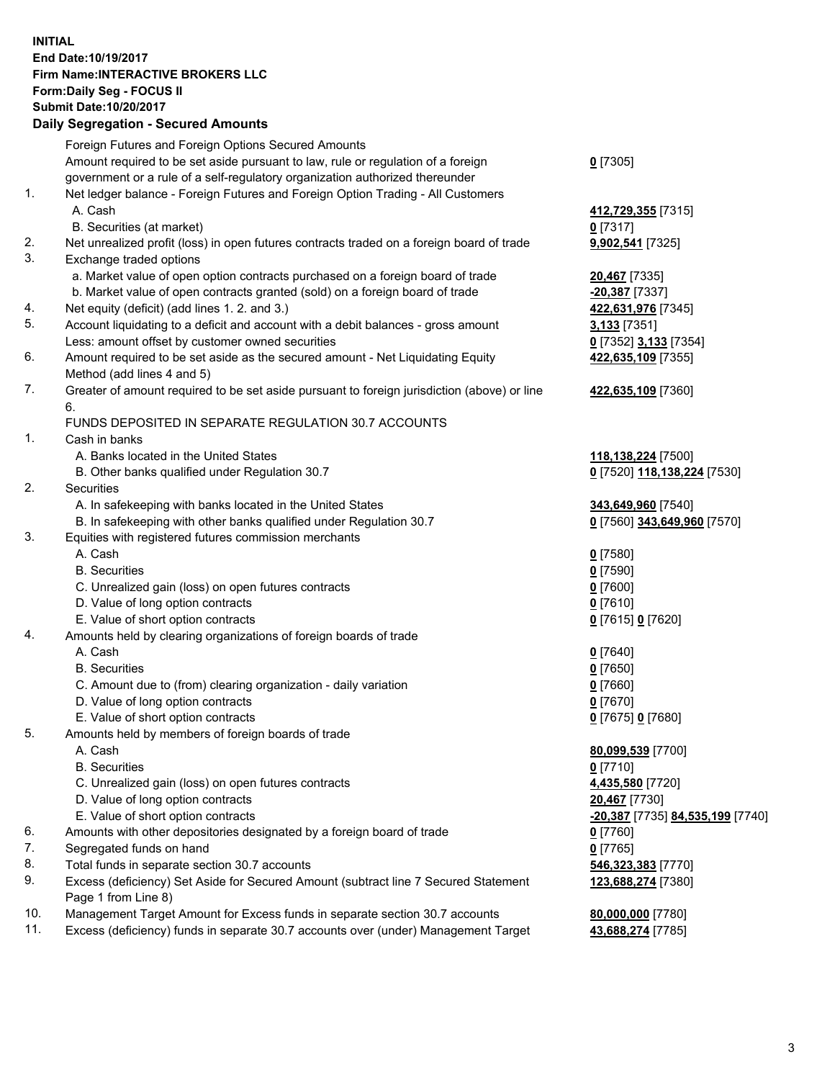## **INITIAL End Date:10/19/2017 Firm Name:INTERACTIVE BROKERS LLC Form:Daily Seg - FOCUS II Submit Date:10/20/2017 Daily Segregation - Secured Amounts**

|     | Daily Segregation - Secured Amounts                                                                        |                                  |
|-----|------------------------------------------------------------------------------------------------------------|----------------------------------|
|     | Foreign Futures and Foreign Options Secured Amounts                                                        |                                  |
|     | Amount required to be set aside pursuant to law, rule or regulation of a foreign                           | $0$ [7305]                       |
|     | government or a rule of a self-regulatory organization authorized thereunder                               |                                  |
| 1.  | Net ledger balance - Foreign Futures and Foreign Option Trading - All Customers                            |                                  |
|     | A. Cash                                                                                                    | 412,729,355 [7315]               |
|     | B. Securities (at market)                                                                                  | $0$ [7317]                       |
| 2.  | Net unrealized profit (loss) in open futures contracts traded on a foreign board of trade                  | 9,902,541 [7325]                 |
| 3.  | Exchange traded options                                                                                    |                                  |
|     | a. Market value of open option contracts purchased on a foreign board of trade                             | 20,467 [7335]                    |
|     | b. Market value of open contracts granted (sold) on a foreign board of trade                               | $-20,387$ [7337]                 |
| 4.  | Net equity (deficit) (add lines 1. 2. and 3.)                                                              | 422,631,976 [7345]               |
| 5.  | Account liquidating to a deficit and account with a debit balances - gross amount                          | 3,133 [7351]                     |
|     | Less: amount offset by customer owned securities                                                           | 0 [7352] 3,133 [7354]            |
| 6.  | Amount required to be set aside as the secured amount - Net Liquidating Equity                             | 422,635,109 [7355]               |
|     | Method (add lines 4 and 5)                                                                                 |                                  |
| 7.  | Greater of amount required to be set aside pursuant to foreign jurisdiction (above) or line                | 422,635,109 [7360]               |
|     | 6.                                                                                                         |                                  |
|     | FUNDS DEPOSITED IN SEPARATE REGULATION 30.7 ACCOUNTS                                                       |                                  |
| 1.  | Cash in banks                                                                                              |                                  |
|     | A. Banks located in the United States                                                                      | 118,138,224 [7500]               |
|     | B. Other banks qualified under Regulation 30.7                                                             | 0 [7520] 118,138,224 [7530]      |
| 2.  | <b>Securities</b>                                                                                          |                                  |
|     | A. In safekeeping with banks located in the United States                                                  | 343,649,960 [7540]               |
|     | B. In safekeeping with other banks qualified under Regulation 30.7                                         | 0 [7560] 343,649,960 [7570]      |
| 3.  | Equities with registered futures commission merchants                                                      |                                  |
|     | A. Cash                                                                                                    | $0$ [7580]                       |
|     | <b>B.</b> Securities                                                                                       | $0$ [7590]                       |
|     | C. Unrealized gain (loss) on open futures contracts                                                        | $0$ [7600]                       |
|     | D. Value of long option contracts                                                                          | $0$ [7610]                       |
|     | E. Value of short option contracts                                                                         | 0 [7615] 0 [7620]                |
| 4.  | Amounts held by clearing organizations of foreign boards of trade                                          |                                  |
|     | A. Cash                                                                                                    | $0$ [7640]                       |
|     | <b>B.</b> Securities                                                                                       | $0$ [7650]                       |
|     | C. Amount due to (from) clearing organization - daily variation                                            | $0$ [7660]                       |
|     | D. Value of long option contracts                                                                          | $0$ [7670]                       |
|     | E. Value of short option contracts                                                                         | 0 [7675] 0 [7680]                |
| 5.  | Amounts held by members of foreign boards of trade                                                         |                                  |
|     | A. Cash                                                                                                    | 80,099,539 [7700]                |
|     | <b>B.</b> Securities                                                                                       | $0$ [7710]                       |
|     | C. Unrealized gain (loss) on open futures contracts                                                        | 4,435,580 [7720]                 |
|     | D. Value of long option contracts                                                                          | 20,467 [7730]                    |
|     | E. Value of short option contracts                                                                         | -20,387 [7735] 84,535,199 [7740] |
| 6.  | Amounts with other depositories designated by a foreign board of trade                                     | 0 [7760]                         |
| 7.  | Segregated funds on hand                                                                                   | $0$ [7765]                       |
| 8.  | Total funds in separate section 30.7 accounts                                                              | 546,323,383 [7770]               |
| 9.  | Excess (deficiency) Set Aside for Secured Amount (subtract line 7 Secured Statement<br>Page 1 from Line 8) | 123,688,274 [7380]               |
| 10. | Management Target Amount for Excess funds in separate section 30.7 accounts                                | 80,000,000 [7780]                |
| 11. | Excess (deficiency) funds in separate 30.7 accounts over (under) Management Target                         | 43,688,274 [7785]                |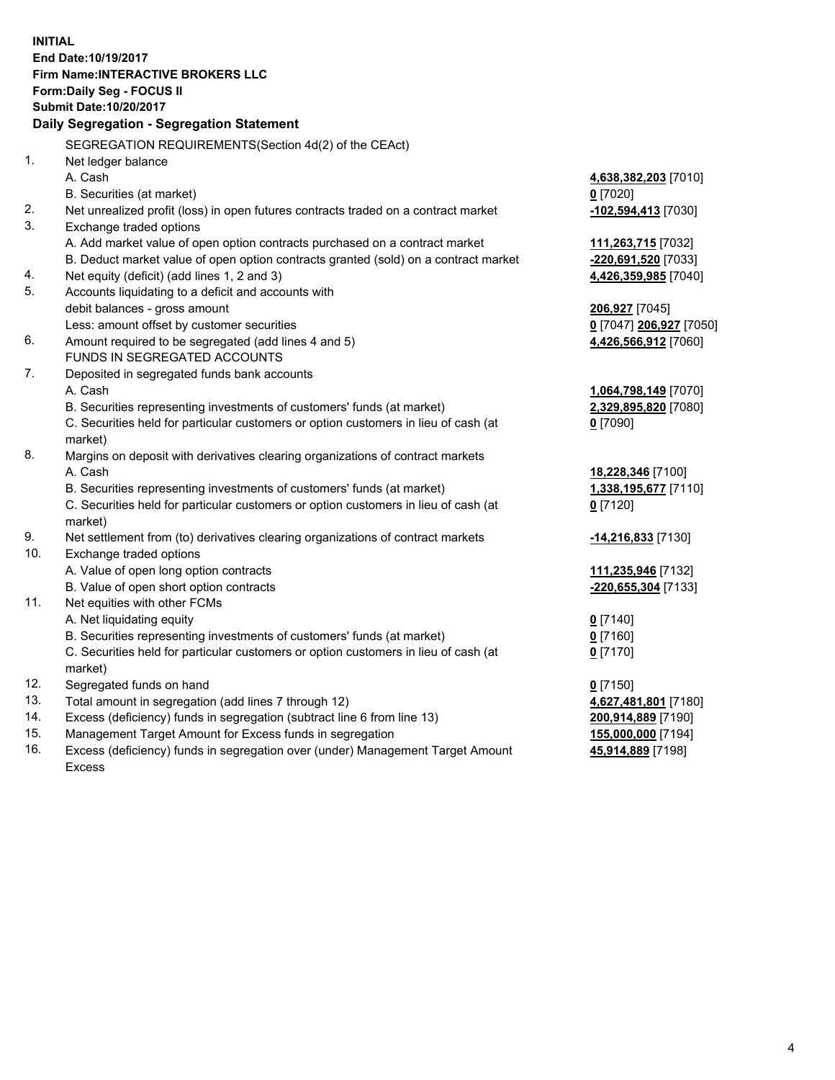**INITIAL End Date:10/19/2017 Firm Name:INTERACTIVE BROKERS LLC Form:Daily Seg - FOCUS II Submit Date:10/20/2017 Daily Segregation - Segregation Statement** SEGREGATION REQUIREMENTS(Section 4d(2) of the CEAct) 1. Net ledger balance A. Cash **4,638,382,203** [7010] B. Securities (at market) **0** [7020] 2. Net unrealized profit (loss) in open futures contracts traded on a contract market **-102,594,413** [7030] 3. Exchange traded options A. Add market value of open option contracts purchased on a contract market **111,263,715** [7032] B. Deduct market value of open option contracts granted (sold) on a contract market **-220,691,520** [7033] 4. Net equity (deficit) (add lines 1, 2 and 3) **4,426,359,985** [7040] 5. Accounts liquidating to a deficit and accounts with debit balances - gross amount **206,927** [7045] Less: amount offset by customer securities **0** [7047] **206,927** [7050] 6. Amount required to be segregated (add lines 4 and 5) **4,426,566,912** [7060] FUNDS IN SEGREGATED ACCOUNTS 7. Deposited in segregated funds bank accounts A. Cash **1,064,798,149** [7070] B. Securities representing investments of customers' funds (at market) **2,329,895,820** [7080] C. Securities held for particular customers or option customers in lieu of cash (at market) **0** [7090] 8. Margins on deposit with derivatives clearing organizations of contract markets A. Cash **18,228,346** [7100] B. Securities representing investments of customers' funds (at market) **1,338,195,677** [7110] C. Securities held for particular customers or option customers in lieu of cash (at market) **0** [7120] 9. Net settlement from (to) derivatives clearing organizations of contract markets **-14,216,833** [7130] 10. Exchange traded options A. Value of open long option contracts **111,235,946** [7132] B. Value of open short option contracts **-220,655,304** [7133] 11. Net equities with other FCMs A. Net liquidating equity **0** [7140] B. Securities representing investments of customers' funds (at market) **0** [7160] C. Securities held for particular customers or option customers in lieu of cash (at market) **0** [7170] 12. Segregated funds on hand **0** [7150] 13. Total amount in segregation (add lines 7 through 12) **4,627,481,801** [7180] 14. Excess (deficiency) funds in segregation (subtract line 6 from line 13) **200,914,889** [7190] 15. Management Target Amount for Excess funds in segregation **155,000,000** [7194] **45,914,889** [7198]

16. Excess (deficiency) funds in segregation over (under) Management Target Amount Excess